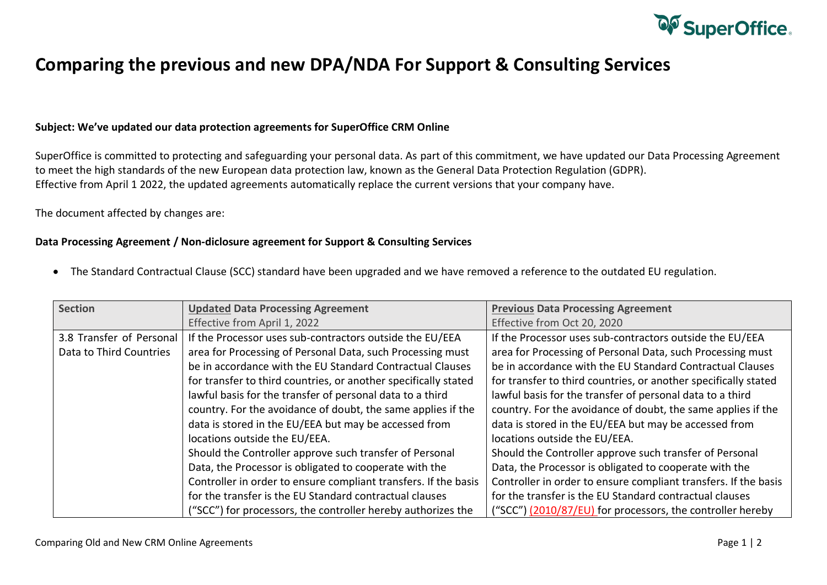

## **Comparing the previous and new DPA/NDA For Support & Consulting Services**

## **Subject: We've updated our data protection agreements for SuperOffice CRM Online**

SuperOffice is committed to protecting and safeguarding your personal data. As part of this commitment, we have updated our Data Processing Agreement to meet the high standards of the new European data protection law, known as the General Data Protection Regulation (GDPR). Effective from April 1 2022, the updated agreements automatically replace the current versions that your company have.

## The document affected by changes are:

## **Data Processing Agreement / Non-diclosure agreement for Support & Consulting Services**

• The Standard Contractual Clause (SCC) standard have been upgraded and we have removed a reference to the outdated EU regulation.

| <b>Section</b>           | <b>Updated Data Processing Agreement</b>                        | <b>Previous Data Processing Agreement</b>                       |
|--------------------------|-----------------------------------------------------------------|-----------------------------------------------------------------|
|                          | Effective from April 1, 2022                                    | Effective from Oct 20, 2020                                     |
| 3.8 Transfer of Personal | If the Processor uses sub-contractors outside the EU/EEA        | If the Processor uses sub-contractors outside the EU/EEA        |
| Data to Third Countries  | area for Processing of Personal Data, such Processing must      | area for Processing of Personal Data, such Processing must      |
|                          | be in accordance with the EU Standard Contractual Clauses       | be in accordance with the EU Standard Contractual Clauses       |
|                          | for transfer to third countries, or another specifically stated | for transfer to third countries, or another specifically stated |
|                          | lawful basis for the transfer of personal data to a third       | lawful basis for the transfer of personal data to a third       |
|                          | country. For the avoidance of doubt, the same applies if the    | country. For the avoidance of doubt, the same applies if the    |
|                          | data is stored in the EU/EEA but may be accessed from           | data is stored in the EU/EEA but may be accessed from           |
|                          | locations outside the EU/EEA.                                   | locations outside the EU/EEA.                                   |
|                          | Should the Controller approve such transfer of Personal         | Should the Controller approve such transfer of Personal         |
|                          | Data, the Processor is obligated to cooperate with the          | Data, the Processor is obligated to cooperate with the          |
|                          | Controller in order to ensure compliant transfers. If the basis | Controller in order to ensure compliant transfers. If the basis |
|                          | for the transfer is the EU Standard contractual clauses         | for the transfer is the EU Standard contractual clauses         |
|                          | ("SCC") for processors, the controller hereby authorizes the    | ("SCC") (2010/87/EU) for processors, the controller hereby      |